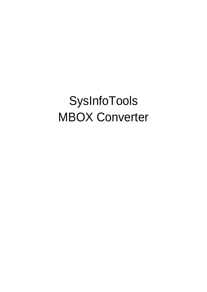# SysInfoTools MBOX Converter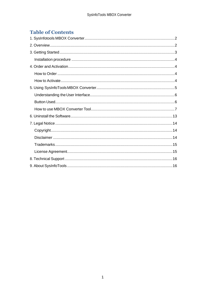# **Table of Contents**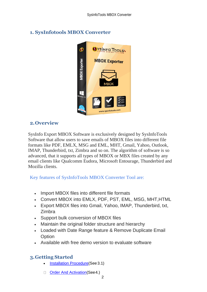

# <span id="page-2-0"></span>**1. SysInfotools MBOX Converter**

## <span id="page-2-1"></span>**2.Overview**

SysInfo Export MBOX Software is exclusively designed by SysInfoTools Software that allow users to save emails of MBOX files into different file formats like PDF, EMLX, MSG and EML, MHT, Gmail, Yahoo, Outlook, IMAP, Thunderbird, txt, Zimbra and so on. The algorithm of software is so advanced, that it supports all types of MBOX or MBX files created by any email clients like Qualcomm Eudora, Microsoft Entourage, Thunderbird and Mozilla clients.

Key features of SysInfoTools MBOX Converter Tool are:

- Import MBOX files into different file formats
- Convert MBOX into EMLX, PDF, PST, EML, MSG, MHT,HTML
- Export MBOX files into Gmail, Yahoo, IMAP, Thunderbird, txt, Zimbra
- Support bulk conversion of MBOX files
- Maintain the original folder structure and hierarchy
- Loaded with Date Range feature & Remove Duplicate Email **Option**
- Available with free demo version to evaluate software

# <span id="page-2-2"></span>**3.Getting Started**

- [Installation Procedure\(](#page-3-0)See 3.1)
- [Order And Activation\(](#page-3-1)See4.) $\Box$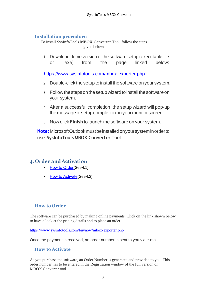## <span id="page-3-0"></span>**Installation procedure**

To install **SysInfoTools MBOX Converter** Tool, follow the steps given below:

1. Download demo version of the software setup (executable file or .exe) from the page linked below:

<https://www.sysinfotools.com/mbox-exporter.php>

- 2. Double-click the setup to install the software onyour system.
- 3. Follow the steps on the setup wizard to install the software on your system.
- 4. After a successful completion, the setup wizard will pop-up the message of setup completion on your monitor screen.
- 5. Now click **Finish** to launch the software on your system.

**Note:**MicrosoftOutlookmustbeinstalledonyoursysteminorderto use **SysInfoTools MBOX Converter** Tool.

## <span id="page-3-1"></span>**4. Order and Activation**

- **[How to Order](#page-3-2)**(See4.1)
- **[How to Activate](#page-3-3) (See 4.2)**

## <span id="page-3-2"></span>**How to Order**

The software can be purchased by making online payments. Click on the link shown below to have a look at the pricing details and to place an order.

<https://www.sysinfotools.com/buynow/mbox-exporter.php>

Once the payment is received, an order number is sent to you via e-mail.

#### <span id="page-3-3"></span>**How to Activate**

As you purchase the software, an Order Number is generated and provided to you. This order number has to be entered in the Registration window of the full version of MBOX Converter tool.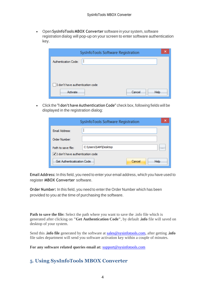• Open **SysInfoTools MBOX Converter** software in your system, software registration dialog will pop-up on your screen to enter software authentication key.

| SysInfoTools Software Registration | ×    |
|------------------------------------|------|
| Authentication Code:               |      |
|                                    |      |
|                                    |      |
| I don't have authentication code   |      |
| Activate<br>Cancel                 | Help |

• Click the **"I don't have Authentication Code"** check box, following fields will be displayed in the registration dialog:

|                                    | SysInfoTools Software Registration |                       |          |
|------------------------------------|------------------------------------|-----------------------|----------|
| Email Address:                     |                                    |                       |          |
| Order Number:                      |                                    |                       |          |
| Path to save file:                 | C:\Users\SAM\Desktop               |                       | $\cdots$ |
| √ I don't have authentication code |                                    |                       |          |
| Get Authenticatication Code        |                                    | Cancel<br><b>Help</b> |          |

**Email Address:** In this field, you need to enter your email address, which you have used to register **MBOX Converter** software.

**Order Number:** In this field, you need to enter the Order Number which has been provided to you at the time of purchasing the software.

**Path to save the file:** Select the path where you want to save the .info file which is generated after clicking on **"Get Authentication Code"**, by default **.info** file will saved on desktop of your system.

Send this **.info file** generated by the software at [sales@sysinfotools.com,](mailto:sales@sysinfotools.com) after getting **.info** file sales department will send you software activation key within a couple of minutes.

**For any software related queries email at:** [support@sysinfotools.com](mailto:support@sysinfotools.com)

## <span id="page-4-0"></span>**5. Using SysInfoTools MBOX Converter**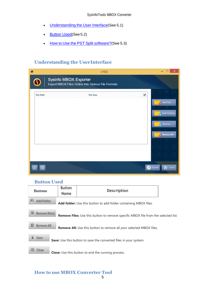- [Understanding](#page-5-0) the User Interface(See 5.1)
- [Button Used](#page-5-1)(See 5.2)
- How to Use the PST Split [software?](#page-5-2)(See 5.3)

#### <span id="page-5-0"></span>**Understanding the UserInterface**

| $\bullet$        | v19.0                                                                       | ×                                                       |
|------------------|-----------------------------------------------------------------------------|---------------------------------------------------------|
| $\Omega$         | Sysinfo MBOX Exporter<br>Export MBOX Files Online into Various File Formats |                                                         |
| <b>File Path</b> | ☑<br><b>File Size</b>                                                       | Add Files<br>Add Folder(s)<br>Remove<br>ø<br>Remove All |
|                  |                                                                             |                                                         |
|                  |                                                                             | $\otimes$<br>Close<br><b>Z</b> Export                   |

## <span id="page-5-1"></span>**Button Used**

| <b>Buttons</b>       | <b>Button</b><br><b>Description</b><br><b>Name</b> |                                                                                           |  |  |  |  |  |  |  |
|----------------------|----------------------------------------------------|-------------------------------------------------------------------------------------------|--|--|--|--|--|--|--|
| Add Folder<br>c      |                                                    | <b>Add folder:</b> Use this button to add folder containing MBOX files.                   |  |  |  |  |  |  |  |
| bò<br>Remove file(s) |                                                    | <b>Remove Files:</b> Use this button to remove specific MBOX file from the selected list. |  |  |  |  |  |  |  |
| Remove All           |                                                    | <b>Remove All:</b> Use this button to remove all your selected MBOX files.                |  |  |  |  |  |  |  |
| Save                 |                                                    | <b>Save:</b> Use this button to save the converted files in your system.                  |  |  |  |  |  |  |  |
| Close                |                                                    | <b>Close:</b> Use this button to end the running process.                                 |  |  |  |  |  |  |  |

## <span id="page-5-2"></span>**How to use MBOX Converter Tool**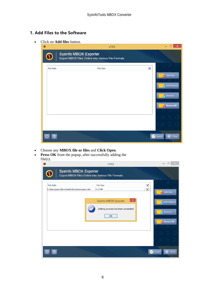## **1. Add Files to the Software**

• Click on **Add files** button.

| $\bullet$        | v19.0                                                                       | $\pmb{\times}$<br>$\Box$                                     |
|------------------|-----------------------------------------------------------------------------|--------------------------------------------------------------|
| $\mathbf \Omega$ | Sysinfo MBOX Exporter<br>Export MBOX Files Online into Various File Formats |                                                              |
| <b>File Path</b> | $\overline{\blacktriangledown}$<br><b>File Size</b>                         | Add Files<br>Add Folder(s)<br>é<br>Remove<br>ø<br>Remove All |
|                  |                                                                             | <b>8</b> Close<br>Export                                     |

- Choose any **MBOX file or files** and **Click Open**.
- **Press OK** from the popup, after successfully adding the file(s).

|                                                                 | v19.0                                                                              |                                            |
|-----------------------------------------------------------------|------------------------------------------------------------------------------------|--------------------------------------------|
|                                                                 | <b>Sysinfo MBOX Exporter</b><br>Export MBOX Files Online into Various File Formats |                                            |
| <b>File Path</b><br>C:\Users\user1\Downloads\mbox\mboxcase1.mbx | ⊻<br><b>File Size</b><br>$\overline{\mathbf{v}}$<br>4.17 MB                        | Add Files                                  |
|                                                                 | ×<br>SysInfo MBOX Exporter<br>Adding prcocess has been completed<br>OK             | Add Folder(s)<br>Remove<br>ø<br>Remove All |
|                                                                 | ſλ,                                                                                | ∞<br>Export<br>Close                       |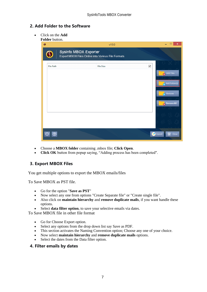#### **2. Add Folder to the Software**

• Click on the **Add Folder** button.

| $\bullet$        | v19.0                                                                       | $\Box$<br>$\pmb{\times}$                                 |
|------------------|-----------------------------------------------------------------------------|----------------------------------------------------------|
|                  | Sysinfo MBOX Exporter<br>Export MBOX Files Online into Various File Formats |                                                          |
| <b>File Path</b> | $\overline{\mathbf{v}}$<br><b>File Size</b>                                 | Add Files<br>Add Folder(s)<br>Remove<br>d.<br>Remove All |
|                  | z                                                                           | $\otimes$<br>Close<br>Export                             |

- Choose a **MBOX folder** containing .mbox file; **Click Open**.
- **Click OK** button from popup saying, "Adding process has been completed".

#### **3. Export MBOX Files**

You get multiple options to export the MBOX emails/files

To Save MBOX as PST file.

- Go for the option "**Save as PST**"
- Now select any one from options "Create Separate file" or "Create single file".
- Also click on **maintain hierarchy** and **remove duplicate mails**, if you want handle these options.
- Select **data filter option**, to save your selective emails via dates.

To Save MBOX file in other file format

- Go for Choose Export option.
- Select any options from the drop down list say Save as PDF.
- This section activates the Naming Convention option; Choose any one of your choice.
- Now select **maintain hierarchy** and **remove duplicate mails** options.
- Select the dates from the Data filter option.

#### **4. Filter emails by dates**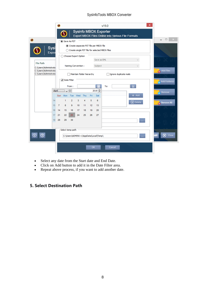#### SysInfoTools MBOX Converter

|                                                | $\bullet$ |                  |                                                                                            |     |     |             | v19.0                                                                       | × |                 |
|------------------------------------------------|-----------|------------------|--------------------------------------------------------------------------------------------|-----|-----|-------------|-----------------------------------------------------------------------------|---|-----------------|
|                                                |           |                  |                                                                                            |     |     |             | Sysinfo MBOX Exporter<br>Export MBOX Files Online into Various File Formats |   |                 |
| $\bullet$                                      |           | Save As PST      |                                                                                            |     |     |             |                                                                             |   | $\Box$ $\times$ |
| Sysi<br>Expor                                  |           |                  | Create separate PST file per MBOX file<br>◯ Create single PST file for selected MBOX files |     |     |             |                                                                             |   |                 |
|                                                |           |                  | Choose Export Option                                                                       |     |     |             |                                                                             |   |                 |
| <b>File Path</b>                               |           |                  |                                                                                            |     |     | Save as EML | $\vee$                                                                      |   |                 |
| C:\Users\Administrato                          |           |                  | Naming Convention:                                                                         |     |     | Subject     | $\vee$                                                                      |   |                 |
| C:\Users\Administrato<br>C:\Users\Administrato |           |                  | Maintain folder hierarchy                                                                  |     |     |             | Ignore duplicate mails                                                      |   | Add Files       |
|                                                |           | Date Filter      |                                                                                            |     |     |             |                                                                             |   | Add Folder(s)   |
|                                                |           |                  | From:                                                                                      |     |     |             | 圇<br>To:                                                                    |   |                 |
|                                                | April     | $\sqrt{2}$       |                                                                                            |     |     | $2019 \div$ |                                                                             |   | Remove<br>Ŕ.    |
|                                                |           | Sun Mon          | Tue<br>Wed                                                                                 | Thu | Fri | Sat         | $+$ Add                                                                     |   |                 |
|                                                | 14        | 1                | 3<br>$\overline{2}$                                                                        | 4   | 5   | 6           | $\circledR$ Delete                                                          |   | Remove All      |
|                                                | 15<br>7   | 8                | 9<br>10                                                                                    | 11  | 12  | 13          |                                                                             |   |                 |
|                                                | 14<br>16  | 15               | 16<br>17                                                                                   | 18  | 19  | 20          |                                                                             |   |                 |
|                                                | 21<br>17  | 22               | 23<br>24<br>30                                                                             | 25  | 26  | 27          |                                                                             |   |                 |
|                                                | 18<br>28  | 29               |                                                                                            |     |     |             | $\sim$                                                                      |   |                 |
|                                                |           | Select temp path |                                                                                            |     |     |             |                                                                             |   |                 |
|                                                |           |                  | C:\Users\ADMINI~1\AppData\Local\Temp\                                                      |     |     |             | $\sim$                                                                      |   | <b>8</b> Close  |
|                                                |           |                  |                                                                                            |     |     |             |                                                                             |   |                 |
|                                                |           |                  |                                                                                            |     | OK  |             | Cancel                                                                      |   |                 |
|                                                |           |                  |                                                                                            |     |     |             |                                                                             |   |                 |

- Select any date from the Start date and End Date.
- Click on Add button to add it in the Date Filter area.
- Repeat above process, if you want to add another date.

## **5. Select Destination Path**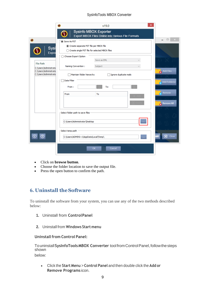#### SysInfoTools MBOX Converter

|                                                                    | $\bullet$<br>v19.0                                                                         |                        | ×                             |
|--------------------------------------------------------------------|--------------------------------------------------------------------------------------------|------------------------|-------------------------------|
|                                                                    | Sysinfo MBOX Exporter<br>Export MBOX Files Online into Various File Formats                |                        |                               |
| $\bullet$                                                          | Save As PST                                                                                |                        | $\Box$<br>$\propto$           |
| Sysi<br>Expor                                                      | Create separate PST file per MBOX file<br>◯ Create single PST file for selected MBOX files |                        |                               |
|                                                                    | Choose Export Option<br>Save as EML                                                        | v                      |                               |
| <b>File Path</b><br>C:\Users\Administrato<br>C:\Users\Administrato | Subject<br>Naming Convention:                                                              | v                      |                               |
| C:\Users\Administrato                                              | Maintain folder hierarchy                                                                  | Ignore duplicate mails | Add Files                     |
|                                                                    | Date Filter<br>From:<br>To:                                                                |                        | Add Folder(s)                 |
|                                                                    | From<br>To                                                                                 |                        | <b>x</b> Remove<br>Remove All |
|                                                                    | Select folder path to save files                                                           |                        |                               |
|                                                                    | C:\Users\Administrator\Desktop                                                             |                        |                               |
|                                                                    | Select temp path<br>C:\Users\ADMINI~1\AppData\Local\Temp\                                  |                        | $^{\circledR}$<br>Close       |
|                                                                    | OK                                                                                         | Cancel                 |                               |

- Click on **browse button**.
- Choose the folder location to save the output file.
- Press the open button to confirm the path.

# <span id="page-9-0"></span>**6. Uninstall theSoftware**

To uninstall the software from your system, you can use any of the two methods described below:

- **1.** Uninstall from **ControlPanel**
- **2.** Uninstall from **Windows Start menu**

#### **Uninstall from Control Panel:**

Touninstall**SysInfoToolsMBOX Converter** toolfromControlPanel,followthesteps shown below:

• Click the **Start Menu** > **Control Panel** and then double click the **Add or Remove Programs** icon.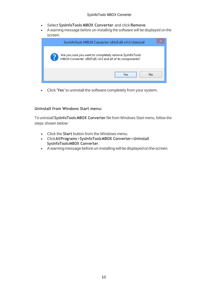- Select **SysInfoTools MBOX Converter** and click **Remove**.
- A warning message before un-installing the software will be displayed on the screen.

| SysInfoTools MBOX Converter x86(Full) v4.0 Uninstall                                                                |
|---------------------------------------------------------------------------------------------------------------------|
| Are you sure you want to completely remove SysInfoTools<br>MBOX Converter x86(Full) v4.0 and all of its components? |
| <br>No<br>Ves                                                                                                       |

• Click **'Yes'** to uninstall the software completely from your system.

#### **Uninstall from Windows Start menu:**

To uninstall **SysInfoTools MBOX Converter** file from Windows Start menu, follow the steps shown below:

- Click the **Start** button from the Windows menu.
- Click**AllPrograms**>**SysInfoToolsMBOX Converter>Uninstall SysInfoToolsMBOX Converter**.
- A warning message before un-installingwill be displayed on the screen.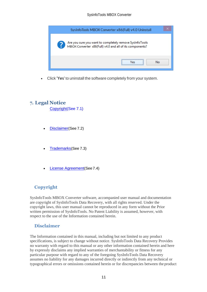

• Click **'Yes'** to uninstall the software completely from your system.

## <span id="page-11-0"></span>**7. Legal Notice**

[Copyright\(](#page-11-1)See 7.1)

- [Disclaimer](#page-11-2)(See 7.2)
- [Trademarks](#page-12-0)(See 7.3)
- [License Agreement](#page-12-1)(See7.4)

# <span id="page-11-1"></span>**Copyright**

SysInfoTools MBOX Converter software, accompanied user manual and documentation are copyright of SysInfoTools Data Recovery, with all rights reserved. Under the copyright laws, this user manual cannot be reproduced in any form without the Prior written permission of SysInfoTools. No Patent Liability is assumed, however, with respect to the use of the Information contained herein.

## <span id="page-11-2"></span>**Disclaimer**

The Information contained in this manual, including but not limited to any product specifications, is subject to change without notice. SysInfoTools Data Recovery Provides no warranty with regard to this manual or any other information contained herein and here by expressly disclaims any implied warranties of merchantability or fitness for any particular purpose with regard to any of the foregoing SysInfoTools Data Recovery assumes no liability for any damages incurred directly or indirectly from any technical or typographical errors or omissions contained herein or for discrepancies between the product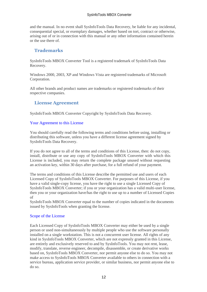and the manual. In no event shall SysInfoTools Data Recovery, be liable for any incidental, consequential special, or exemplary damages, whether based on tort, contract or otherwise, arising out of or in connection with this manual or any other information contained herein or the use there of.

## <span id="page-12-0"></span>**Trademarks**

SysInfoTools MBOX Converter Tool is a registered trademark of SysInfoTools Data Recovery.

Windows 2000, 2003, XP and Windows Vista are registered trademarks of Microsoft Corporation.

All other brands and product names are trademarks or registered trademarks of their respective companies.

## <span id="page-12-1"></span>**License Agreement**

SysInfoTools MBOX Converter Copyright by SysInfoTools Data Recovery.

#### Your Agreement to this License

You should carefully read the following terms and conditions before using, installing or distributing this software, unless you have a different license agreement signed by SysInfoTools Data Recovery.

If you do not agree to all of the terms and conditions of this License, then: do not copy, install, distribute or use any copy of SysInfoTools MBOX Converter with which this License is included, you may return the complete package unused without requesting an activation key, within 30 days after purchase, for a full refund of your payment.

The terms and conditions of this License describe the permitted use and users of each Licensed Copy of SysInfoTools MBOX Converter. For purposes of this License, if you have a valid single-copy license, you have the right to use a single Licensed Copy of SysInfoTools MBOX Converter; if you or your organization has a valid multi-user license, then you or your organization have/has the right to use up to a number of Licensed Copies of

SysInfoTools MBOX Converter equal to the number of copies indicated in the documents issued by SysInfoTools when granting the license.

#### Scope of the License

Each Licensed Copy of SysInfoTools MBOX Converter may either be used by a single person or used non-simultaneously by multiple people who use the software personally installed on a single workstation. This is not a concurrent user license. All rights of any kind in SysInfoTools MBOX Converter, which are not expressly granted in this License, are entirely and exclusively reserved to and by SysInfoTools. You may not rent, lease, modify, translate, reverse engineer, decompile, disassemble, or create derivative works based on, SysInfoTools MBOX Converter, nor permit anyone else to do so. You may not make access to SysInfoTools MBOX Converter available to others in connection with a service bureau, application service provider, or similar business, nor permit anyone else to do so.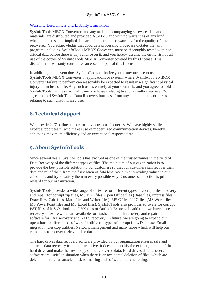#### Warranty Disclaimers and Liability Limitations

SysInfoTools MBOX Converter, and any and all accompanying software, data and materials, are distributed and provided AS-IT-IS and with no warranties of any kind, whether expressed or implied. In particular, there is no warranty for the quality of data recovered. You acknowledge that good data processing procedure dictates that any program, including SysInfoTools MBOX Converter, must be thoroughly tested with noncritical data before there is any reliance on it, and you hereby assume the entire risk of all use of the copies of SysInfoTools MBOX Converter covered by this License. This disclaimer of warranty constitutes an essential part of this License.

In addition, in no event does SysInfoTools authorize you or anyone else to use SysInfoTools MBOX Converter in applications or systems where SysInfoTools MBOX Converter failure to perform can reasonably be expected to result in a significant physical injury, or in loss of life. Any such use is entirely at your own risk, and you agree to hold SysInfoTools harmless from all claims or losses relating to such unauthorized use. You agree to hold SysInfoTools Data Recovery harmless from any and all claims or losses relating to such unauthorized use.

# <span id="page-13-0"></span>**8. Technical Support**

We provide 24/7 online support to solve customer's queries. We have highly skilled and expert support team, who makes use of modernized communication devices, thereby achieving maximum efficiency and an exceptional response time.

# <span id="page-13-1"></span>**9. About SysInfoTools**

Since several years, SysInfoTools has evolved as one of the trusted names in the field of Data Recovery of the different types of files. The main aim of our organization is to provide the best possible solution to our customers so that our customers can recover their data and relief them from the frustration of data loss. We aim at providing values to our customers and try to satisfy them in every possible way. Customer satisfaction is prime reward for our organization.

SysInfoTools provides a wide range of software for different types of corrupt files recovery and repair for corrupt zip files, MS BKF files, Open Office files (Base files, Impress files, Draw files, Calc files, Math files and Writer files), MS Office 2007 files (MS Word files, MS PowerPoint files and MS Excel files). SysInfoTools also provides software for corrupt PST files of MS Outlook and DBX files of Outlook Express. In addition, we have more recovery software which are available for crashed hard disk recovery and repair like software for FAT recovery and NTFS recovery. In future, we are going to expand our operations to offer more software for different types of corrupt files, Database, Email migration, Desktop utilities, Network management and many more which will help our customers to recover their valuable data.

The hard drives data recovery software provided by our organization ensures safe and accurate data recovery from the hard drive. It does not modify the existing content of the hard drive and make the fresh copy of the recovered data. Hard drives data recovery software are useful in situation when there is an accidental deletion of files, which are deleted due to virus attacks, disk formatting and software malfunctioning.